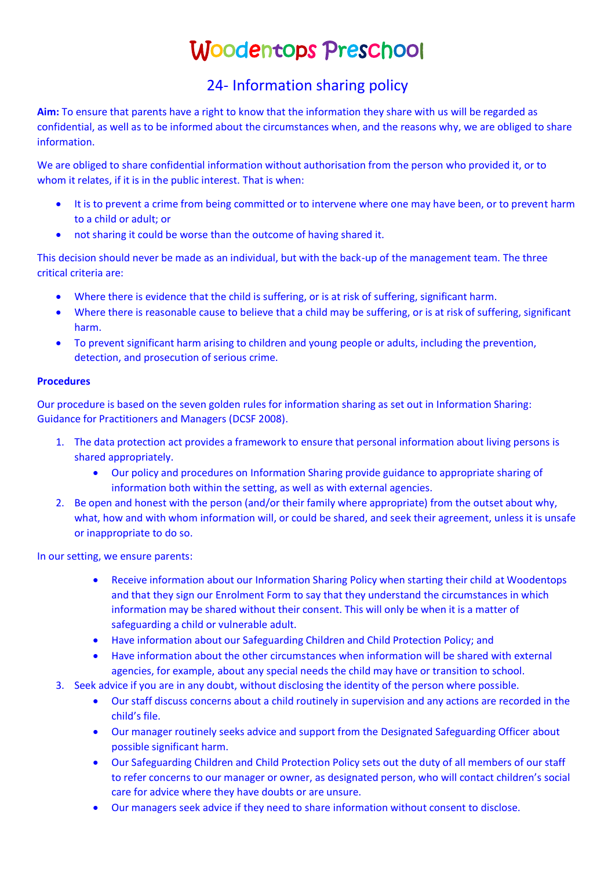# Woodentops Preschool

# 24- Information sharing policy

**Aim:** To ensure that parents have a right to know that the information they share with us will be regarded as confidential, as well as to be informed about the circumstances when, and the reasons why, we are obliged to share information.

We are obliged to share confidential information without authorisation from the person who provided it, or to whom it relates, if it is in the public interest. That is when:

- It is to prevent a crime from being committed or to intervene where one may have been, or to prevent harm to a child or adult; or
- not sharing it could be worse than the outcome of having shared it.

This decision should never be made as an individual, but with the back-up of the management team. The three critical criteria are:

- Where there is evidence that the child is suffering, or is at risk of suffering, significant harm.
- Where there is reasonable cause to believe that a child may be suffering, or is at risk of suffering, significant harm.
- To prevent significant harm arising to children and young people or adults, including the prevention, detection, and prosecution of serious crime.

## **Procedures**

Our procedure is based on the seven golden rules for information sharing as set out in Information Sharing: Guidance for Practitioners and Managers (DCSF 2008).

- 1. The data protection act provides a framework to ensure that personal information about living persons is shared appropriately.
	- Our policy and procedures on Information Sharing provide guidance to appropriate sharing of information both within the setting, as well as with external agencies.
- 2. Be open and honest with the person (and/or their family where appropriate) from the outset about why, what, how and with whom information will, or could be shared, and seek their agreement, unless it is unsafe or inappropriate to do so.

In our setting, we ensure parents:

- Receive information about our Information Sharing Policy when starting their child at Woodentops and that they sign our Enrolment Form to say that they understand the circumstances in which information may be shared without their consent. This will only be when it is a matter of safeguarding a child or vulnerable adult.
- Have information about our Safeguarding Children and Child Protection Policy; and
- Have information about the other circumstances when information will be shared with external agencies, for example, about any special needs the child may have or transition to school.
- 3. Seek advice if you are in any doubt, without disclosing the identity of the person where possible.
	- Our staff discuss concerns about a child routinely in supervision and any actions are recorded in the child's file.
	- Our manager routinely seeks advice and support from the Designated Safeguarding Officer about possible significant harm.
	- Our Safeguarding Children and Child Protection Policy sets out the duty of all members of our staff to refer concerns to our manager or owner, as designated person, who will contact children's social care for advice where they have doubts or are unsure.
	- Our managers seek advice if they need to share information without consent to disclose.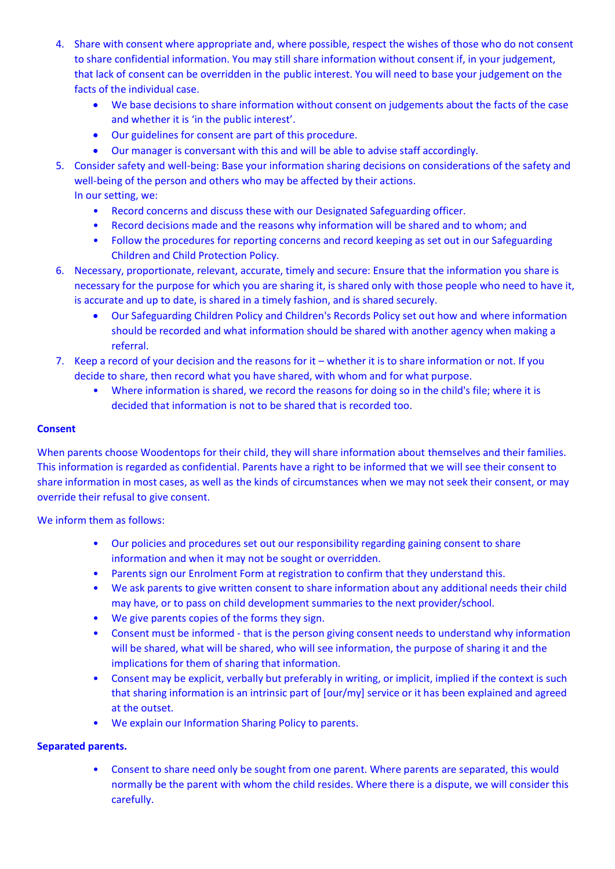- 4. Share with consent where appropriate and, where possible, respect the wishes of those who do not consent to share confidential information. You may still share information without consent if, in your judgement, that lack of consent can be overridden in the public interest. You will need to base your judgement on the facts of the individual case.
	- We base decisions to share information without consent on judgements about the facts of the case and whether it is 'in the public interest'.
	- Our guidelines for consent are part of this procedure.
	- Our manager is conversant with this and will be able to advise staff accordingly.
- 5. Consider safety and well-being: Base your information sharing decisions on considerations of the safety and well-being of the person and others who may be affected by their actions. In our setting, we:
	- Record concerns and discuss these with our Designated Safeguarding officer.
	- Record decisions made and the reasons why information will be shared and to whom; and
	- Follow the procedures for reporting concerns and record keeping as set out in our Safeguarding Children and Child Protection Policy.
- 6. Necessary, proportionate, relevant, accurate, timely and secure: Ensure that the information you share is necessary for the purpose for which you are sharing it, is shared only with those people who need to have it, is accurate and up to date, is shared in a timely fashion, and is shared securely.
	- Our Safeguarding Children Policy and Children's Records Policy set out how and where information should be recorded and what information should be shared with another agency when making a referral.
- 7. Keep a record of your decision and the reasons for it whether it is to share information or not. If you decide to share, then record what you have shared, with whom and for what purpose.
	- Where information is shared, we record the reasons for doing so in the child's file; where it is decided that information is not to be shared that is recorded too.

### **Consent**

When parents choose Woodentops for their child, they will share information about themselves and their families. This information is regarded as confidential. Parents have a right to be informed that we will see their consent to share information in most cases, as well as the kinds of circumstances when we may not seek their consent, or may override their refusal to give consent.

We inform them as follows:

- Our policies and procedures set out our responsibility regarding gaining consent to share information and when it may not be sought or overridden.
- Parents sign our Enrolment Form at registration to confirm that they understand this.
- We ask parents to give written consent to share information about any additional needs their child may have, or to pass on child development summaries to the next provider/school.
- We give parents copies of the forms they sign.
- Consent must be informed that is the person giving consent needs to understand why information will be shared, what will be shared, who will see information, the purpose of sharing it and the implications for them of sharing that information.
- Consent may be explicit, verbally but preferably in writing, or implicit, implied if the context is such that sharing information is an intrinsic part of [our/my] service or it has been explained and agreed at the outset.
- We explain our Information Sharing Policy to parents.

#### **Separated parents.**

• Consent to share need only be sought from one parent. Where parents are separated, this would normally be the parent with whom the child resides. Where there is a dispute, we will consider this carefully.